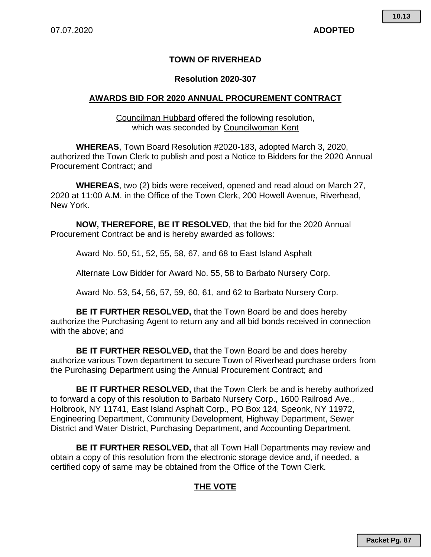## **TOWN OF RIVERHEAD**

## **Resolution 2020-307**

## **AWARDS BID FOR 2020 ANNUAL PROCUREMENT CONTRACT**

Councilman Hubbard offered the following resolution, which was seconded by Councilwoman Kent

**WHEREAS**, Town Board Resolution #2020-183, adopted March 3, 2020, authorized the Town Clerk to publish and post a Notice to Bidders for the 2020 Annual Procurement Contract; and

**WHEREAS**, two (2) bids were received, opened and read aloud on March 27, 2020 at 11:00 A.M. in the Office of the Town Clerk, 200 Howell Avenue, Riverhead, New York.

**NOW, THEREFORE, BE IT RESOLVED**, that the bid for the 2020 Annual Procurement Contract be and is hereby awarded as follows:

Award No. 50, 51, 52, 55, 58, 67, and 68 to East Island Asphalt

Alternate Low Bidder for Award No. 55, 58 to Barbato Nursery Corp.

Award No. 53, 54, 56, 57, 59, 60, 61, and 62 to Barbato Nursery Corp.

**BE IT FURTHER RESOLVED,** that the Town Board be and does hereby authorize the Purchasing Agent to return any and all bid bonds received in connection with the above; and

**BE IT FURTHER RESOLVED,** that the Town Board be and does hereby authorize various Town department to secure Town of Riverhead purchase orders from the Purchasing Department using the Annual Procurement Contract; and

**BE IT FURTHER RESOLVED,** that the Town Clerk be and is hereby authorized to forward a copy of this resolution to Barbato Nursery Corp., 1600 Railroad Ave., Holbrook, NY 11741, East Island Asphalt Corp., PO Box 124, Speonk, NY 11972, Engineering Department, Community Development, Highway Department, Sewer District and Water District, Purchasing Department, and Accounting Department.

**BE IT FURTHER RESOLVED,** that all Town Hall Departments may review and obtain a copy of this resolution from the electronic storage device and, if needed, a certified copy of same may be obtained from the Office of the Town Clerk.

# **THE VOTE**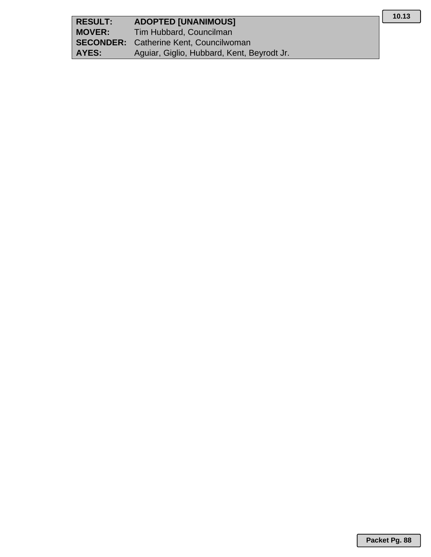| <b>RESULT:</b> | <b>ADOPTED [UNANIMOUS]</b>                    |
|----------------|-----------------------------------------------|
| <b>MOVER:</b>  | Tim Hubbard, Councilman                       |
|                | <b>SECONDER:</b> Catherine Kent, Councilwoman |
| AYES:          | Aguiar, Giglio, Hubbard, Kent, Beyrodt Jr.    |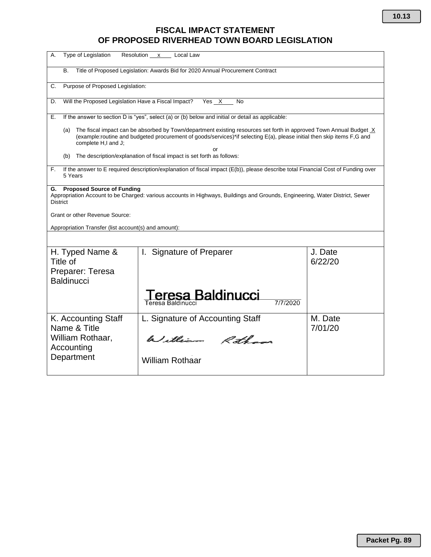# **FISCAL IMPACT STATEMENT OF PROPOSED RIVERHEAD TOWN BOARD LEGISLATION**

| А.                                                                   | Type of Legislation                                                                                                                                                                                                                                         | Resolution x<br>Local Law                                                                                                                                                                                                                          |                    |  |  |  |  |  |  |  |  |
|----------------------------------------------------------------------|-------------------------------------------------------------------------------------------------------------------------------------------------------------------------------------------------------------------------------------------------------------|----------------------------------------------------------------------------------------------------------------------------------------------------------------------------------------------------------------------------------------------------|--------------------|--|--|--|--|--|--|--|--|
| В.                                                                   |                                                                                                                                                                                                                                                             | Title of Proposed Legislation: Awards Bid for 2020 Annual Procurement Contract                                                                                                                                                                     |                    |  |  |  |  |  |  |  |  |
| С.                                                                   | Purpose of Proposed Legislation:                                                                                                                                                                                                                            |                                                                                                                                                                                                                                                    |                    |  |  |  |  |  |  |  |  |
| D.                                                                   |                                                                                                                                                                                                                                                             | Will the Proposed Legislation Have a Fiscal Impact?<br>Yes X<br>No                                                                                                                                                                                 |                    |  |  |  |  |  |  |  |  |
| Е.                                                                   |                                                                                                                                                                                                                                                             | If the answer to section D is "yes", select (a) or (b) below and initial or detail as applicable:                                                                                                                                                  |                    |  |  |  |  |  |  |  |  |
| (a)                                                                  | complete H,I and J;                                                                                                                                                                                                                                         | The fiscal impact can be absorbed by Town/department existing resources set forth in approved Town Annual Budget X<br>(example:routine and budgeted procurement of goods/services)*if selecting E(a), please initial then skip items F,G and<br>nr |                    |  |  |  |  |  |  |  |  |
| (b)                                                                  |                                                                                                                                                                                                                                                             | The description/explanation of fiscal impact is set forth as follows:                                                                                                                                                                              |                    |  |  |  |  |  |  |  |  |
| F.<br>5 Years                                                        |                                                                                                                                                                                                                                                             | If the answer to E required description/explanation of fiscal impact (E(b)), please describe total Financial Cost of Funding over                                                                                                                  |                    |  |  |  |  |  |  |  |  |
| G.<br><b>District</b>                                                | <b>Proposed Source of Funding</b><br>Appropriation Account to be Charged: various accounts in Highways, Buildings and Grounds, Engineering, Water District, Sewer<br>Grant or other Revenue Source:<br>Appropriation Transfer (list account(s) and amount): |                                                                                                                                                                                                                                                    |                    |  |  |  |  |  |  |  |  |
| H. Typed Name &<br>Title of<br>Preparer: Teresa<br><b>Baldinucci</b> |                                                                                                                                                                                                                                                             | <b>Signature of Preparer</b><br>I.<br>esa Baldinucci<br>7/7/2020<br>Teresa Baldinucci                                                                                                                                                              | J. Date<br>6/22/20 |  |  |  |  |  |  |  |  |
| Name & Title<br>William Rothaar,<br>Accounting<br>Department         | K. Accounting Staff                                                                                                                                                                                                                                         | L. Signature of Accounting Staff<br>William Rthan<br><b>William Rothaar</b>                                                                                                                                                                        | M. Date<br>7/01/20 |  |  |  |  |  |  |  |  |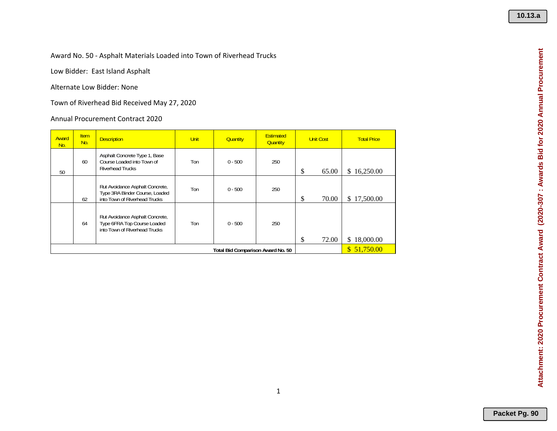Award No. 50 ‐ Asphalt Materials Loaded into Town of Riverhead Trucks

Low Bidder: East Island Asphalt

Alternate Low Bidder: None

Town of Riverhead Bid Received May 27, 2020

Annual Procurement Contract 2020

| Award<br>No. | <b>Item</b><br>No. | <b>Description</b>                                                                                 | <b>Unit</b>                       | <b>Quantity</b> | <b>Estimated</b><br><b>Quantity</b> | <b>Unit Cost</b> | <b>Total Price</b> |
|--------------|--------------------|----------------------------------------------------------------------------------------------------|-----------------------------------|-----------------|-------------------------------------|------------------|--------------------|
| 50           | 60                 | Asphalt Concrete Type 1, Base<br>Course Loaded into Town of<br><b>Riverhead Trucks</b>             | Ton                               | $0 - 500$       | 250                                 | \$<br>65.00      | \$16,250.00        |
|              | 62                 | Rut Avoidance Asphalt Concrete,<br>Type 3RA Binder Course, Loaded<br>into Town of Riverhead Trucks | Ton                               | $0 - 500$       | 250                                 | \$<br>70.00      | \$17,500.00        |
|              | 64                 | Rut Avoidance Asphalt Concrete,<br>Type 6FRA Top Course Loaded<br>into Town of Riverhead Trucks    | Ton                               | $0 - 500$       | 250                                 | \$<br>72.00      | \$18,000.00        |
|              |                    |                                                                                                    | Total Bid Comparison Award No. 50 |                 | \$51,750.00                         |                  |                    |

Attachment: 2020 Procurement Contract Award (2020-307 : Awards Bid for 2020 Annual Procurement **Attachment: 2020 Procurement Contract Award (2020-307 : Awards Bid for 2020 Annual Procurement**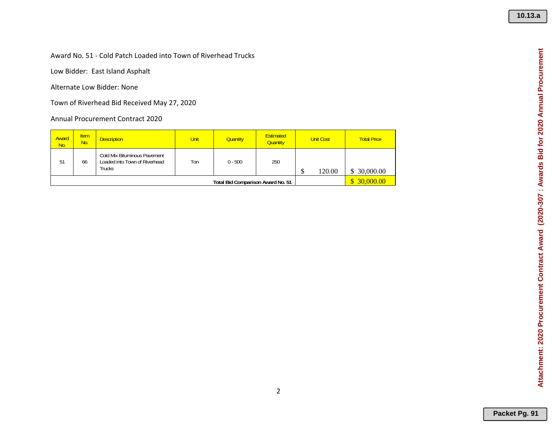#### Award No. 51 ‐ Cold Patch Loaded into Town of Riverhead Trucks

Low Bidder: East Island Asphalt

Alternate Low Bidder: None

Town of Riverhead Bid Received May 27, 2020

| Award<br>No. | <b>Item</b><br>No. | <b>Description</b>                                                      | <b>Unit</b>                              | <b>Quantity</b> | <b>Estimated</b><br><b>Quantity</b> |           | <b>Unit Cost</b> | <b>Total Price</b> |
|--------------|--------------------|-------------------------------------------------------------------------|------------------------------------------|-----------------|-------------------------------------|-----------|------------------|--------------------|
| 51           | 66                 | Cold Mix Bituminous Pavement<br>Loaded into Town of Riverhead<br>Trucks | Ton                                      | $0 - 500$       | 250                                 | Φ<br>J    | 120.00           | \$ 30,000.00       |
|              |                    |                                                                         | <b>Total Bid Comparison Award No. 51</b> |                 |                                     | 30,000.00 |                  |                    |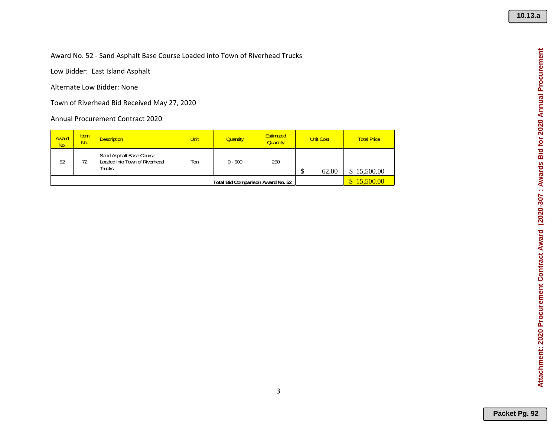Award No. 52 ‐ Sand Asphalt Base Course Loaded into Town of Riverhead Trucks

Low Bidder: East Island Asphalt

Alternate Low Bidder: None

Town of Riverhead Bid Received May 27, 2020

| Award<br>No. | <b>Item</b><br>No.                       | <b>Description</b>                                                  | <b>Unit</b> | <b>Quantity</b> | <b>Estimated</b><br><b>Quantity</b> |    | <b>Unit Cost</b> | <b>Total Price</b> |
|--------------|------------------------------------------|---------------------------------------------------------------------|-------------|-----------------|-------------------------------------|----|------------------|--------------------|
| 52           | 72                                       | Sand Asphalt Base Course<br>Loaded into Town of Riverhead<br>Trucks | Ton         | $0 - 500$       | 250                                 | кD | 62.00            | 15,500.00          |
|              | <b>Total Bid Comparison Award No. 52</b> |                                                                     |             |                 |                                     |    |                  | 15,500.00          |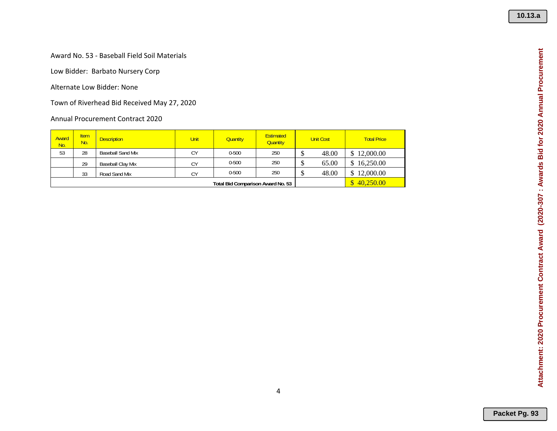#### Award No. 53 ‐ Baseball Field Soil Materials

Low Bidder: Barbato Nursery Corp

Alternate Low Bidder: None

Town of Riverhead Bid Received May 27, 2020

| Award<br>No. | <b>Item</b><br>No. | <b>Description</b>       | <b>Unit</b>     | <b>Quantity</b> | <b>Estimated</b><br><b>Quantity</b> |       | <b>Unit Cost</b> | <b>Total Price</b> |
|--------------|--------------------|--------------------------|-----------------|-----------------|-------------------------------------|-------|------------------|--------------------|
| 53           | 28                 | <b>Baseball Sand Mix</b> | СY              | $0 - 500$       | 250                                 | 48.00 |                  | 12,000.00          |
|              | 29                 | <b>Baseball Clay Mix</b> | СY              | $0 - 500$       | 250                                 |       | 65.00            | 16,250.00          |
|              | 33                 | Road Sand Mix            | CΥ              | $0 - 500$       | 250                                 |       | 48.00            | 12,000.00          |
|              |                    |                          | 40,250.00<br>S. |                 |                                     |       |                  |                    |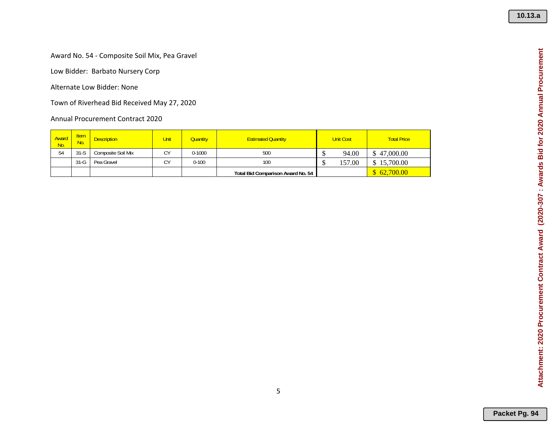Attachment: 2020 Procurement Contract Award (2020-307 : Awards Bid for 2020 Annual Procurement **Attachment: 2020 Procurement Contract Award (2020-307 : Awards Bid for 2020 Annual Procurement**

Award No. 54 ‐ Composite Soil Mix, Pea Gravel

Low Bidder: Barbato Nursery Corp

Alternate Low Bidder: None

Town of Riverhead Bid Received May 27, 2020

| Award<br>No. | <b>Item</b><br>No. | <b>Description</b> | Unit         | <b>Quantity</b> | <b>Estimated Quantity</b>         | <b>Unit Cost</b> | <b>Total Price</b> |
|--------------|--------------------|--------------------|--------------|-----------------|-----------------------------------|------------------|--------------------|
| 54           | $31-S$             | Composite Soil Mix | $\sim$<br>◡  | $0 - 1000$      | 500                               | 94.00            | \$47,000.00        |
|              | $31-G$             | Pea Gravel         | $\sim$<br>U. | $0 - 100$       | 100                               | 157.00           | 15,700.00          |
|              |                    |                    |              |                 | Total Bid Comparison Award No. 54 |                  | \$62,700.00        |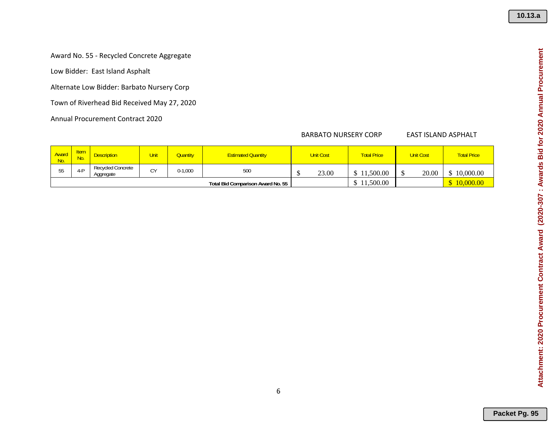Award No. 55 ‐ Recycled Concrete Aggregate

Low Bidder: East Island Asphalt

Alternate Low Bidder: Barbato Nursery Corp

Town of Riverhead Bid Received May 27, 2020

Annual Procurement Contract 2020

#### **BARBATO NURSERY CORP**

#### EAST ISLAND ASPHALT

| Award<br>No. | <b>Hem</b><br>No. | <b>Description</b>                    | <b>Unit</b> | <b>Quantity</b> | <b>Estimated Quantity</b>         |  | <b>Unit Cost</b> | <b>Total Price</b> | <b>Unit Cost</b> | <b>Total Price</b> |
|--------------|-------------------|---------------------------------------|-------------|-----------------|-----------------------------------|--|------------------|--------------------|------------------|--------------------|
| JJ           |                   | <b>Recycled Concrete</b><br>Aggregate | CY          | $0-1,000$       | 500                               |  | 23.00            | 11.500.00          | 20.00            | 10,000.00          |
|              |                   |                                       |             |                 | Total Bid Comparison Award No. 55 |  |                  | .500.00            |                  | 10,000.00          |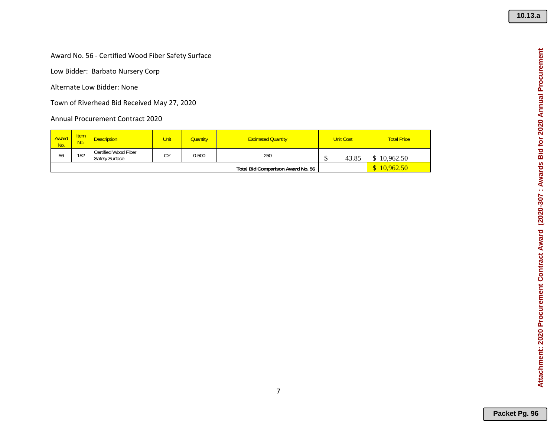Award No. 56 ‐ Certified Wood Fiber Safety Surface

Low Bidder: Barbato Nursery Corp

Alternate Low Bidder: None

Town of Riverhead Bid Received May 27, 2020

| Award<br>No. | <b>Item</b><br>No. | <b>Description</b>                     | Unit | Quantity  | <b>Estimated Quantity</b>         |    | <b>Unit Cost</b> | <b>Total Price</b> |
|--------------|--------------------|----------------------------------------|------|-----------|-----------------------------------|----|------------------|--------------------|
| 56           | 152                | Certified Wood Fiber<br>Safety Surface | ΓV   | $0 - 500$ | 250                               | τĐ | 43.85            | 10.962.50          |
|              |                    |                                        |      |           | Total Bid Comparison Award No. 56 |    |                  | 10.962.50          |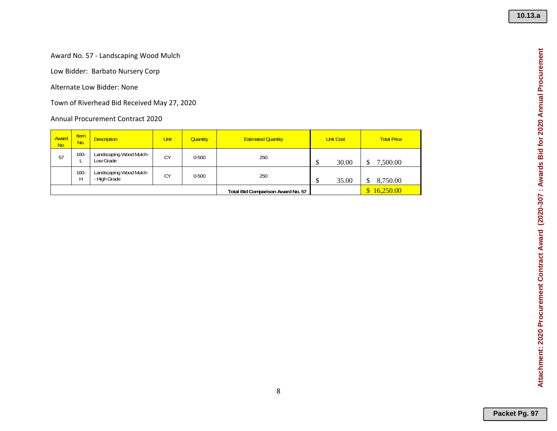#### Award No. 57 ‐ Landscaping Wood Mulch

Low Bidder: Barbato Nursery Corp

Alternate Low Bidder: None

Town of Riverhead Bid Received May 27, 2020

| Award<br>No. | <b>Item</b><br>No. | <b>Description</b>                     | <b>Unit</b> | <b>Quantity</b> | <b>Estimated Quantity</b>         | <b>Unit Cost</b> | <b>Total Price</b> |
|--------------|--------------------|----------------------------------------|-------------|-----------------|-----------------------------------|------------------|--------------------|
| 57           | $160 -$            | Landscaping Wood Mulch-<br>Low Grade   | CY          | $0 - 500$       | 250                               | 30.00<br>∩<br>۰D | 7,500.00           |
|              | $160 -$<br>Н       | Landscaping Wood Mulch<br>- High Grade | CY          | $0 - 500$       | 250                               | 35.00<br>₼<br>۰D | 8,750.00           |
|              |                    |                                        |             |                 | Total Bid Comparison Award No. 57 |                  | 16,250.00          |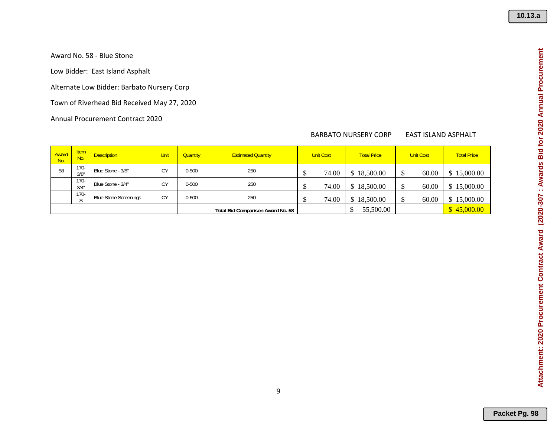Award No. 58 ‐ Blue Stone

Low Bidder: East Island Asphalt

Alternate Low Bidder: Barbato Nursery Corp

Town of Riverhead Bid Received May 27, 2020

Annual Procurement Contract 2020

### **BARBATO NURSERY CORP**

#### EAST ISLAND ASPHALT

| Award<br>No. | <b>Item</b><br>No.     | <b>Description</b>           | Unit      | <b>Quantity</b> | <b>Estimated Quantity</b>         | <b>Unit Cost</b> |       | <b>Total Price</b> | <b>Unit Cost</b> |       | <b>Total Price</b> |
|--------------|------------------------|------------------------------|-----------|-----------------|-----------------------------------|------------------|-------|--------------------|------------------|-------|--------------------|
| 58           | $170-$<br>3/8"         | Blue Stone - 3/8"            | <b>CY</b> | $0 - 500$       | 250                               |                  | 74.00 | \$18,500.00        |                  | 60.00 | \$15,000.00        |
|              | $170 -$<br>3/4'        | Blue Stone - 3/4"            | CY        | $0 - 500$       | 250                               |                  | 74.00 | \$18,500.00        |                  | 60.00 | \$15,000.00        |
|              | $170-$<br>$\sim$<br>ĸ. | <b>Blue Stone Screenings</b> | <b>CY</b> | $0 - 500$       | 250                               |                  | 74.00 | \$18,500.00        |                  | 60.00 | \$15,000.00        |
|              |                        |                              |           |                 | Total Bid Comparison Award No. 58 |                  |       | 55,500.00          |                  |       | \$45,000.00        |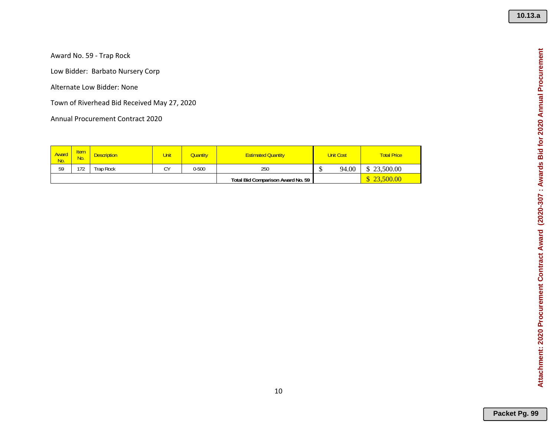Award No. 59 ‐ Trap Rock

Low Bidder: Barbato Nursery Corp

Alternate Low Bidder: None

Town of Riverhead Bid Received May 27, 2020

| Award<br>No. | ltem<br>No. | <b>Description</b> | Unit | Quantity  | <b>Estimated Quantity</b>         |                    | <b>Unit Cost</b> | <b>Total Price</b>       |
|--------------|-------------|--------------------|------|-----------|-----------------------------------|--------------------|------------------|--------------------------|
| 59           | 172         | Trap Rock          | CY   | $0 - 500$ | 250                               | $\triangle$<br>-12 | 94.00            | 23,500.00<br>$\triangle$ |
|              |             |                    |      |           | Total Bid Comparison Award No. 59 |                    |                  | 23,500.00                |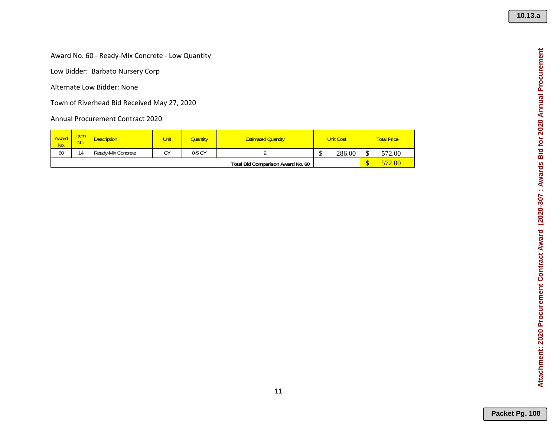Award No. 60 ‐ Ready‐Mix Concrete ‐ Low Quantity

Low Bidder: Barbato Nursery Corp

Alternate Low Bidder: None

Town of Riverhead Bid Received May 27, 2020

| <b>Award</b><br>No. | <b>Item</b><br>No. | <b>Description</b> | Unit    | <b>Quantity</b> | <b>Estimated Quantity</b>         | <b>Unit Cost</b> |        | <b>Total Price</b> |
|---------------------|--------------------|--------------------|---------|-----------------|-----------------------------------|------------------|--------|--------------------|
| 60                  | 14                 | Ready-Mix Concrete | ΓV<br>◡ | 0-5 CY          |                                   |                  | 286.00 | 572.00             |
|                     |                    |                    |         |                 | Total Bid Comparison Award No. 60 |                  |        | 572.00             |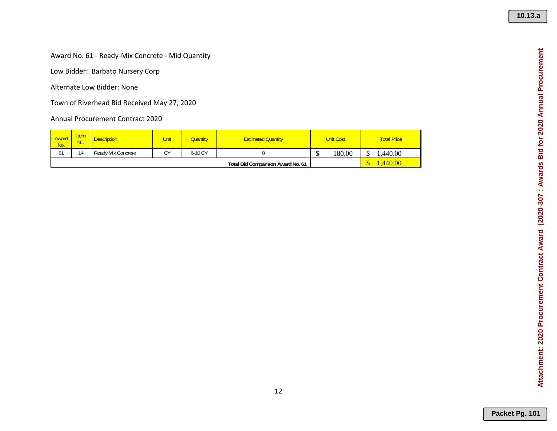Award No. 61 ‐ Ready‐Mix Concrete ‐ Mid Quantity

Low Bidder: Barbato Nursery Corp

Alternate Low Bidder: None

Town of Riverhead Bid Received May 27, 2020

| Award<br>No. | <b>Item</b><br><u>No.</u>         | <b>Description</b> | Unit | Quantity | <b>Estimated Quantity</b> | <b>Unit Cost</b> |        |  | <b>Total Price</b> |
|--------------|-----------------------------------|--------------------|------|----------|---------------------------|------------------|--------|--|--------------------|
| 61           | 14                                | Ready Mix Concrete | CY   | 6-10 CY  |                           |                  | 180.00 |  | .440.00            |
|              | Total Bid Comparison Award No. 61 |                    |      |          |                           |                  |        |  | .440.00            |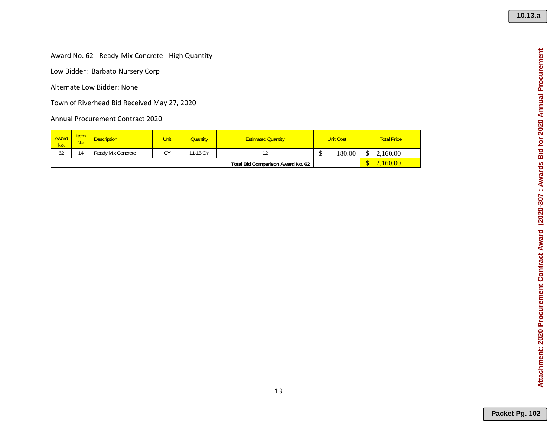Award No. 62 ‐ Ready‐Mix Concrete ‐ High Quantity

Low Bidder: Barbato Nursery Corp

Alternate Low Bidder: None

Town of Riverhead Bid Received May 27, 2020

| <u>Award</u><br>No. | <b>Item</b><br><u>No.</u> | <b>Description</b> | Unit | Quantity | <b>Estimated Quantity</b>         | <b>Unit Cost</b> |        | <b>Total Price</b> |
|---------------------|---------------------------|--------------------|------|----------|-----------------------------------|------------------|--------|--------------------|
| 62                  | 14                        | Ready Mix Concrete | CY   | 11-15 CY |                                   | ۰D               | 180.00 | 2.160.00           |
|                     |                           |                    |      |          | Total Bid Comparison Award No. 62 |                  |        | 60.00              |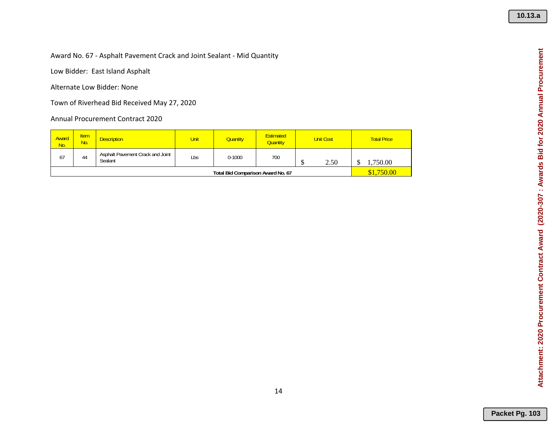#### Award No. 67 ‐ Asphalt Pavement Crack and Joint Sealant ‐ Mid Quantity

Low Bidder: East Island Asphalt

Alternate Low Bidder: None

Town of Riverhead Bid Received May 27, 2020

| Award<br>No.                      | <b>Item</b><br>No. | <b>Description</b>                          | <b>Unit</b> | <b>Quantity</b> | <b>Estimated</b><br><b>Quantity</b> | <b>Unit Cost</b> |      |  | <b>Total Price</b> |
|-----------------------------------|--------------------|---------------------------------------------|-------------|-----------------|-------------------------------------|------------------|------|--|--------------------|
| 67                                | 44                 | Asphalt Pavement Crack and Joint<br>Sealant | Lbs         | $0 - 1000$      | 700                                 | τD               | 2.50 |  | .750.00            |
| Total Bid Comparison Award No. 67 |                    |                                             |             |                 |                                     |                  |      |  | \$1,750.00         |